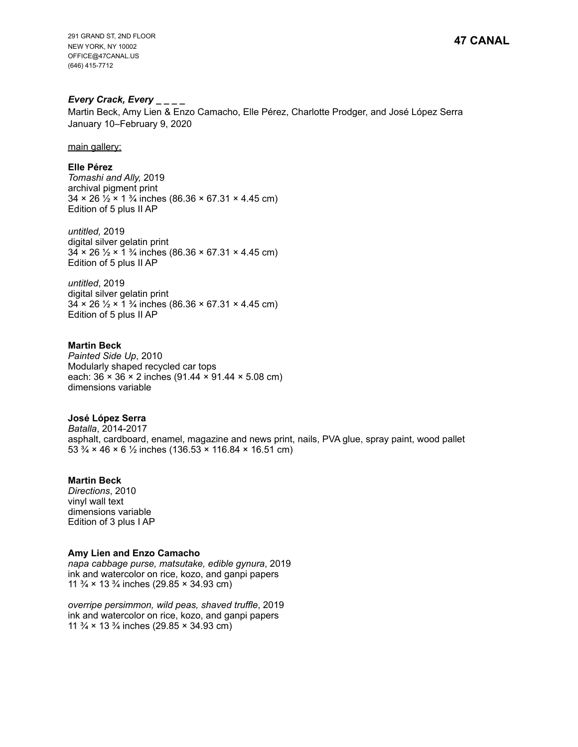**47 CANAL**

291 GRAND ST, 2ND FLOOR NEW YORK, NY 10002 OFFICE@47CANAL.US (646) 415-7712

# *Every Crack, Every \_ \_ \_ \_*

Martin Beck, Amy Lien & Enzo Camacho, Elle Pérez, Charlotte Prodger, and José López Serra January 10–February 9, 2020

main gallery:

### **Elle Pérez**

*Tomashi and Ally,* 2019 archival pigment print  $34 \times 26 \frac{1}{2} \times 1 \frac{3}{4}$  inches (86.36  $\times$  67.31  $\times$  4.45 cm) Edition of 5 plus II AP

*untitled,* 2019 digital silver gelatin print  $34 \times 26$   $\frac{1}{2} \times 1$   $\frac{3}{4}$  inches (86.36  $\times$  67.31  $\times$  4.45 cm) Edition of 5 plus II AP

*untitled*, 2019 digital silver gelatin print  $34 \times 26 \frac{1}{2} \times 1 \frac{3}{4}$  inches (86.36  $\times$  67.31  $\times$  4.45 cm) Edition of 5 plus II AP

**Martin Beck**  *Painted Side Up*, 2010 Modularly shaped recycled car tops each: 36 × 36 × 2 inches (91.44 × 91.44 × 5.08 cm) dimensions variable

### **José López Serra**

*Batalla*, 2014-2017 asphalt, cardboard, enamel, magazine and news print, nails, PVA glue, spray paint, wood pallet 53  $\frac{3}{4}$  × 46 × 6  $\frac{1}{2}$  inches (136.53 × 116.84 × 16.51 cm)

### **Martin Beck**

*Directions*, 2010 vinyl wall text dimensions variable Edition of 3 plus I AP

### **Amy Lien and Enzo Camacho**

*napa cabbage purse, matsutake, edible gynura*, 2019 ink and watercolor on rice, kozo, and ganpi papers 11  $\frac{3}{4}$  × 13  $\frac{3}{4}$  inches (29.85 × 34.93 cm)

*overripe persimmon, wild peas, shaved truffle*, 2019 ink and watercolor on rice, kozo, and ganpi papers 11  $\frac{3}{4}$  × 13  $\frac{3}{4}$  inches (29.85 × 34.93 cm)